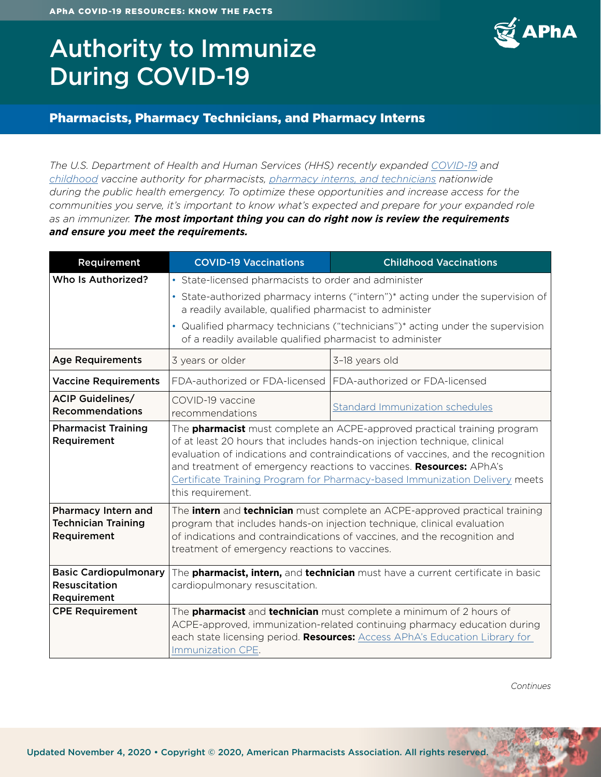# Authority to Immunize During COVID-19



#### Pharmacists, Pharmacy Technicians, and Pharmacy Interns

*The U.S. Department of Health and Human Services (HHS) recently expanded [COVID-19](https://www.hhs.gov/about/news/2020/09/09/trump-administration-takes-action-to-expand-access-to-covid-19-vaccines.html?utm_source=STAT+Newsletters&utm_campaign=242ac95c31-MR_COPY_01&utm_medium=email&utm_term=0_8cab1d7961-242ac95c31-149533965) and [childhood](https://www.hhs.gov/about/news/2020/08/19/hhs-expands-access-childhood-vaccines-during-covid-19-pandemic.html) vaccine authority for pharmacists, [pharmacy interns, and technicians](https://www.hhs.gov/sites/default/files/prep-act-guidance.pdf) nationwide during the public health emergency. To optimize these opportunities and increase access for the communities you serve, it's important to know what's expected and prepare for your expanded role as an immunizer. The most important thing you can do right now is review the requirements and ensure you meet the requirements.* 

| Requirement                                                      | <b>COVID-19 Vaccinations</b>                                                                                                                                                                                                                                                                                                                                                                                                | <b>Childhood Vaccinations</b>   |  |
|------------------------------------------------------------------|-----------------------------------------------------------------------------------------------------------------------------------------------------------------------------------------------------------------------------------------------------------------------------------------------------------------------------------------------------------------------------------------------------------------------------|---------------------------------|--|
| Who Is Authorized?                                               | • State-licensed pharmacists to order and administer                                                                                                                                                                                                                                                                                                                                                                        |                                 |  |
|                                                                  | • State-authorized pharmacy interns ("intern")* acting under the supervision of<br>a readily available, qualified pharmacist to administer                                                                                                                                                                                                                                                                                  |                                 |  |
|                                                                  | • Qualified pharmacy technicians ("technicians")* acting under the supervision<br>of a readily available qualified pharmacist to administer                                                                                                                                                                                                                                                                                 |                                 |  |
| <b>Age Requirements</b>                                          | 3 years or older                                                                                                                                                                                                                                                                                                                                                                                                            | 3-18 years old                  |  |
| <b>Vaccine Requirements</b>                                      | FDA-authorized or FDA-licensed                                                                                                                                                                                                                                                                                                                                                                                              | FDA-authorized or FDA-licensed  |  |
| <b>ACIP Guidelines/</b><br><b>Recommendations</b>                | COVID-19 vaccine<br>recommendations                                                                                                                                                                                                                                                                                                                                                                                         | Standard Immunization schedules |  |
| <b>Pharmacist Training</b><br>Requirement                        | The <b>pharmacist</b> must complete an ACPE-approved practical training program<br>of at least 20 hours that includes hands-on injection technique, clinical<br>evaluation of indications and contraindications of vaccines, and the recognition<br>and treatment of emergency reactions to vaccines. Resources: APhA's<br>Certificate Training Program for Pharmacy-based Immunization Delivery meets<br>this requirement. |                                 |  |
| Pharmacy Intern and<br><b>Technician Training</b><br>Requirement | The <b>intern</b> and <b>technician</b> must complete an ACPE-approved practical training<br>program that includes hands-on injection technique, clinical evaluation<br>of indications and contraindications of vaccines, and the recognition and<br>treatment of emergency reactions to vaccines.                                                                                                                          |                                 |  |
| <b>Basic Cardiopulmonary</b><br>Resuscitation<br>Requirement     | The <b>pharmacist, intern,</b> and technician must have a current certificate in basic<br>cardiopulmonary resuscitation.                                                                                                                                                                                                                                                                                                    |                                 |  |
| <b>CPE Requirement</b>                                           | The <b>pharmacist</b> and <b>technician</b> must complete a minimum of 2 hours of<br>ACPE-approved, immunization-related continuing pharmacy education during<br>each state licensing period. Resources: Access APhA's Education Library for<br>Immunization CPE.                                                                                                                                                           |                                 |  |

*Continues*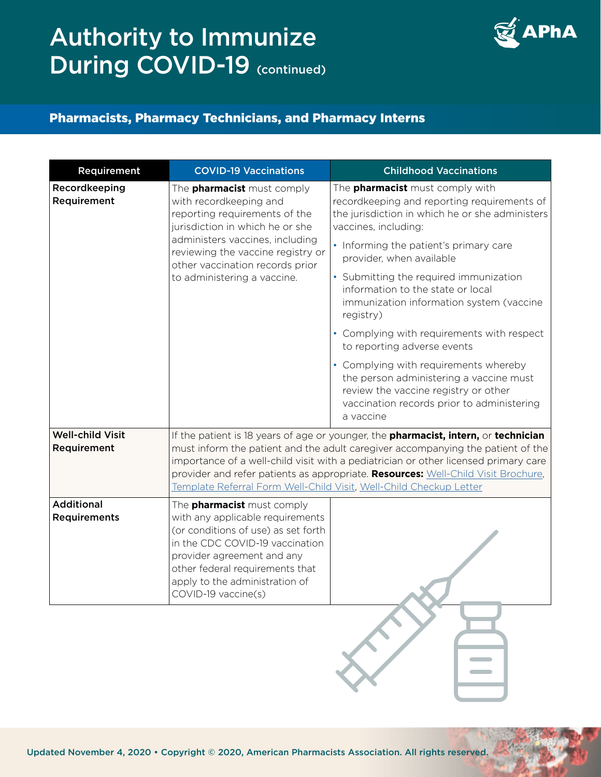# Authority to Immunize During COVID-19 (continued)



### Pharmacists, Pharmacy Technicians, and Pharmacy Interns

| Requirement                            | <b>COVID-19 Vaccinations</b>                                                                                                                                                                                                                                                                                                                                                                                             | <b>Childhood Vaccinations</b>                                                                                                                                                       |
|----------------------------------------|--------------------------------------------------------------------------------------------------------------------------------------------------------------------------------------------------------------------------------------------------------------------------------------------------------------------------------------------------------------------------------------------------------------------------|-------------------------------------------------------------------------------------------------------------------------------------------------------------------------------------|
| Recordkeeping<br>Requirement           | The <b>pharmacist</b> must comply<br>with recordkeeping and<br>reporting requirements of the<br>jurisdiction in which he or she<br>administers vaccines, including<br>reviewing the vaccine registry or<br>other vaccination records prior                                                                                                                                                                               | The <b>pharmacist</b> must comply with<br>recordkeeping and reporting requirements of<br>the jurisdiction in which he or she administers<br>vaccines, including:                    |
|                                        |                                                                                                                                                                                                                                                                                                                                                                                                                          | • Informing the patient's primary care<br>provider, when available                                                                                                                  |
|                                        | to administering a vaccine.                                                                                                                                                                                                                                                                                                                                                                                              | • Submitting the required immunization<br>information to the state or local<br>immunization information system (vaccine<br>registry)                                                |
|                                        |                                                                                                                                                                                                                                                                                                                                                                                                                          | • Complying with requirements with respect<br>to reporting adverse events                                                                                                           |
|                                        |                                                                                                                                                                                                                                                                                                                                                                                                                          | • Complying with requirements whereby<br>the person administering a vaccine must<br>review the vaccine registry or other<br>vaccination records prior to administering<br>a vaccine |
| <b>Well-child Visit</b><br>Requirement | If the patient is 18 years of age or younger, the pharmacist, intern, or technician<br>must inform the patient and the adult caregiver accompanying the patient of the<br>importance of a well-child visit with a pediatrician or other licensed primary care<br>provider and refer patients as appropriate. Resources: Well-Child Visit Brochure,<br>Template Referral Form Well-Child Visit, Well-Child Checkup Letter |                                                                                                                                                                                     |
| <b>Additional</b><br>Requirements      | The <b>pharmacist</b> must comply<br>with any applicable requirements<br>(or conditions of use) as set forth<br>in the CDC COVID-19 vaccination<br>provider agreement and any<br>other federal requirements that<br>apply to the administration of<br>COVID-19 vaccine(s)                                                                                                                                                |                                                                                                                                                                                     |
|                                        |                                                                                                                                                                                                                                                                                                                                                                                                                          |                                                                                                                                                                                     |

Updated November 4, 2020 • Copyright © 2020, American Pharmacists Association. All rights reserved.